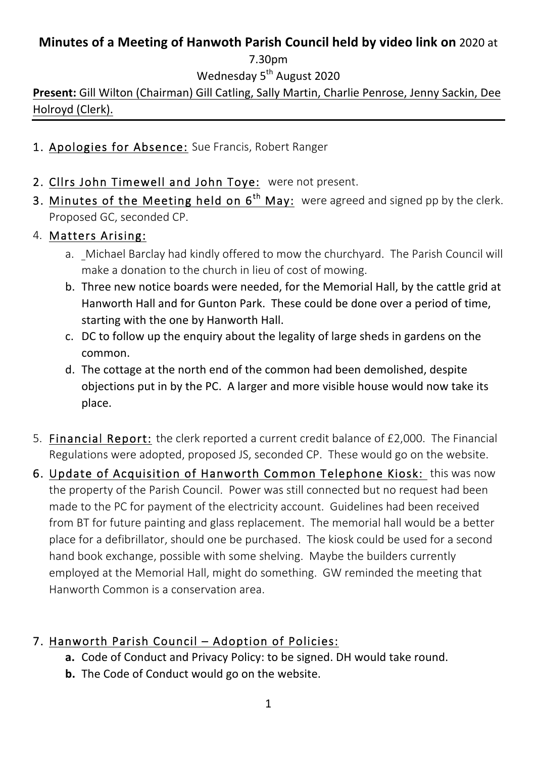## **Minutes of a Meeting of Hanwoth Parish Council held by video link on** 2020 at

7.30pm

Wednesday 5<sup>th</sup> August 2020

**Present:** Gill Wilton (Chairman) Gill Catling, Sally Martin, Charlie Penrose, Jenny Sackin, Dee Holroyd (Clerk).

- 1. Apologies for Absence: Sue Francis, Robert Ranger
- 2. Cllrs John Timewell and John Toye: were not present.
- 3. Minutes of the Meeting held on  $6<sup>th</sup>$  May: were agreed and signed pp by the clerk. Proposed GC, seconded CP.

## 4. Matters Arising:

- a. Michael Barclay had kindly offered to mow the churchyard. The Parish Council will make a donation to the church in lieu of cost of mowing.
- b. Three new notice boards were needed, for the Memorial Hall, by the cattle grid at Hanworth Hall and for Gunton Park. These could be done over a period of time, starting with the one by Hanworth Hall.
- c. DC to follow up the enquiry about the legality of large sheds in gardens on the common.
- d. The cottage at the north end of the common had been demolished, despite objections put in by the PC. A larger and more visible house would now take its place.
- 5. Financial Report: the clerk reported a current credit balance of £2,000. The Financial Regulations were adopted, proposed JS, seconded CP. These would go on the website.
- 6. Update of Acquisition of Hanworth Common Telephone Kiosk: this was now the property of the Parish Council. Power was still connected but no request had been made to the PC for payment of the electricity account. Guidelines had been received from BT for future painting and glass replacement. The memorial hall would be a better place for a defibrillator, should one be purchased. The kiosk could be used for a second hand book exchange, possible with some shelving. Maybe the builders currently employed at the Memorial Hall, might do something. GW reminded the meeting that Hanworth Common is a conservation area.

## 7. Hanworth Parish Council – Adoption of Policies:

- **a.** Code of Conduct and Privacy Policy: to be signed. DH would take round.
- **b.** The Code of Conduct would go on the website.